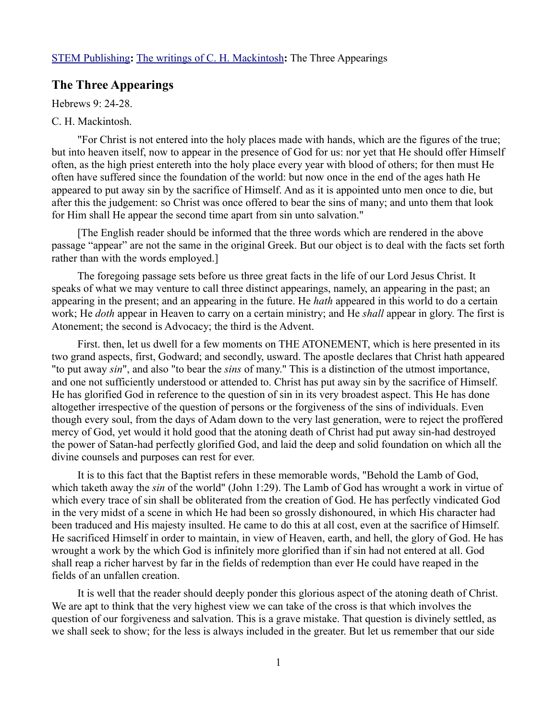## **The Three Appearings**

Hebrews 9: 24-28.

## C. H. Mackintosh.

"For Christ is not entered into the holy places made with hands, which are the figures of the true; but into heaven itself, now to appear in the presence of God for us: nor yet that He should offer Himself often, as the high priest entereth into the holy place every year with blood of others; for then must He often have suffered since the foundation of the world: but now once in the end of the ages hath He appeared to put away sin by the sacrifice of Himself. And as it is appointed unto men once to die, but after this the judgement: so Christ was once offered to bear the sins of many; and unto them that look for Him shall He appear the second time apart from sin unto salvation."

[The English reader should be informed that the three words which are rendered in the above passage "appear" are not the same in the original Greek. But our object is to deal with the facts set forth rather than with the words employed.]

The foregoing passage sets before us three great facts in the life of our Lord Jesus Christ. It speaks of what we may venture to call three distinct appearings, namely, an appearing in the past; an appearing in the present; and an appearing in the future. He *hath* appeared in this world to do a certain work; He *doth* appear in Heaven to carry on a certain ministry; and He *shall* appear in glory. The first is Atonement; the second is Advocacy; the third is the Advent.

First. then, let us dwell for a few moments on THE ATONEMENT, which is here presented in its two grand aspects, first, Godward; and secondly, usward. The apostle declares that Christ hath appeared "to put away *sin*", and also "to bear the *sins* of many." This is a distinction of the utmost importance, and one not sufficiently understood or attended to. Christ has put away sin by the sacrifice of Himself. He has glorified God in reference to the question of sin in its very broadest aspect. This He has done altogether irrespective of the question of persons or the forgiveness of the sins of individuals. Even though every soul, from the days of Adam down to the very last generation, were to reject the proffered mercy of God, yet would it hold good that the atoning death of Christ had put away sin-had destroyed the power of Satan-had perfectly glorified God, and laid the deep and solid foundation on which all the divine counsels and purposes can rest for ever.

It is to this fact that the Baptist refers in these memorable words, "Behold the Lamb of God, which taketh away the *sin* of the world" (John 1:29). The Lamb of God has wrought a work in virtue of which every trace of sin shall be obliterated from the creation of God. He has perfectly vindicated God in the very midst of a scene in which He had been so grossly dishonoured, in which His character had been traduced and His majesty insulted. He came to do this at all cost, even at the sacrifice of Himself. He sacrificed Himself in order to maintain, in view of Heaven, earth, and hell, the glory of God. He has wrought a work by the which God is infinitely more glorified than if sin had not entered at all. God shall reap a richer harvest by far in the fields of redemption than ever He could have reaped in the fields of an unfallen creation.

It is well that the reader should deeply ponder this glorious aspect of the atoning death of Christ. We are apt to think that the very highest view we can take of the cross is that which involves the question of our forgiveness and salvation. This is a grave mistake. That question is divinely settled, as we shall seek to show; for the less is always included in the greater. But let us remember that our side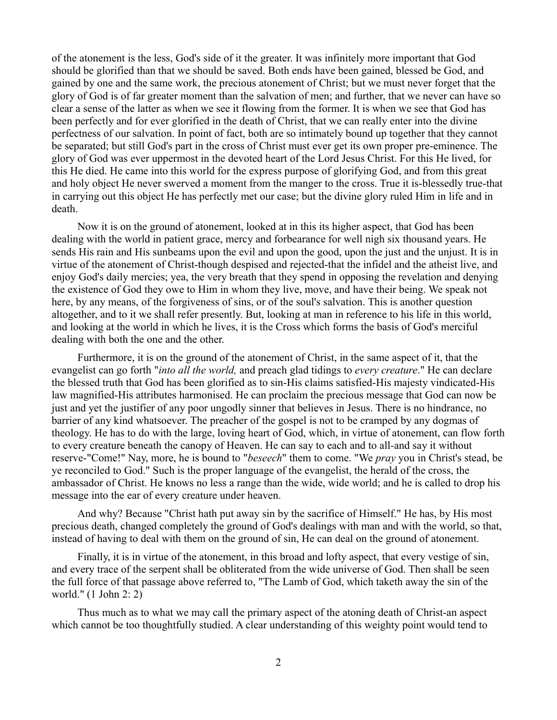of the atonement is the less, God's side of it the greater. It was infinitely more important that God should be glorified than that we should be saved. Both ends have been gained, blessed be God, and gained by one and the same work, the precious atonement of Christ; but we must never forget that the glory of God is of far greater moment than the salvation of men; and further, that we never can have so clear a sense of the latter as when we see it flowing from the former. It is when we see that God has been perfectly and for ever glorified in the death of Christ, that we can really enter into the divine perfectness of our salvation. In point of fact, both are so intimately bound up together that they cannot be separated; but still God's part in the cross of Christ must ever get its own proper pre-eminence. The glory of God was ever uppermost in the devoted heart of the Lord Jesus Christ. For this He lived, for this He died. He came into this world for the express purpose of glorifying God, and from this great and holy object He never swerved a moment from the manger to the cross. True it is-blessedly true-that in carrying out this object He has perfectly met our case; but the divine glory ruled Him in life and in death.

Now it is on the ground of atonement, looked at in this its higher aspect, that God has been dealing with the world in patient grace, mercy and forbearance for well nigh six thousand years. He sends His rain and His sunbeams upon the evil and upon the good, upon the just and the unjust. It is in virtue of the atonement of Christ-though despised and rejected-that the infidel and the atheist live, and enjoy God's daily mercies; yea, the very breath that they spend in opposing the revelation and denying the existence of God they owe to Him in whom they live, move, and have their being. We speak not here, by any means, of the forgiveness of sins, or of the soul's salvation. This is another question altogether, and to it we shall refer presently. But, looking at man in reference to his life in this world, and looking at the world in which he lives, it is the Cross which forms the basis of God's merciful dealing with both the one and the other.

Furthermore, it is on the ground of the atonement of Christ, in the same aspect of it, that the evangelist can go forth "*into all the world,* and preach glad tidings to *every creature*." He can declare the blessed truth that God has been glorified as to sin-His claims satisfied-His majesty vindicated-His law magnified-His attributes harmonised. He can proclaim the precious message that God can now be just and yet the justifier of any poor ungodly sinner that believes in Jesus. There is no hindrance, no barrier of any kind whatsoever. The preacher of the gospel is not to be cramped by any dogmas of theology. He has to do with the large, loving heart of God, which, in virtue of atonement, can flow forth to every creature beneath the canopy of Heaven. He can say to each and to all-and say it without reserve-"Come!" Nay, more, he is bound to "*beseech*" them to come. "We *pray* you in Christ's stead, be ye reconciled to God." Such is the proper language of the evangelist, the herald of the cross, the ambassador of Christ. He knows no less a range than the wide, wide world; and he is called to drop his message into the ear of every creature under heaven.

And why? Because "Christ hath put away sin by the sacrifice of Himself." He has, by His most precious death, changed completely the ground of God's dealings with man and with the world, so that, instead of having to deal with them on the ground of sin, He can deal on the ground of atonement.

Finally, it is in virtue of the atonement, in this broad and lofty aspect, that every vestige of sin, and every trace of the serpent shall be obliterated from the wide universe of God. Then shall be seen the full force of that passage above referred to, "The Lamb of God, which taketh away the sin of the world." (1 John 2: 2)

Thus much as to what we may call the primary aspect of the atoning death of Christ-an aspect which cannot be too thoughtfully studied. A clear understanding of this weighty point would tend to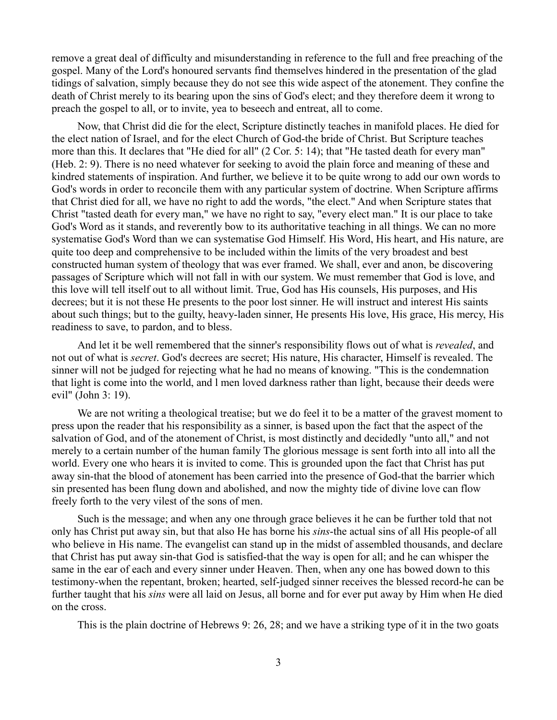remove a great deal of difficulty and misunderstanding in reference to the full and free preaching of the gospel. Many of the Lord's honoured servants find themselves hindered in the presentation of the glad tidings of salvation, simply because they do not see this wide aspect of the atonement. They confine the death of Christ merely to its bearing upon the sins of God's elect; and they therefore deem it wrong to preach the gospel to all, or to invite, yea to beseech and entreat, all to come.

Now, that Christ did die for the elect, Scripture distinctly teaches in manifold places. He died for the elect nation of Israel, and for the elect Church of God-the bride of Christ. But Scripture teaches more than this. It declares that "He died for all" (2 Cor. 5: 14); that "He tasted death for every man" (Heb. 2: 9). There is no need whatever for seeking to avoid the plain force and meaning of these and kindred statements of inspiration. And further, we believe it to be quite wrong to add our own words to God's words in order to reconcile them with any particular system of doctrine. When Scripture affirms that Christ died for all, we have no right to add the words, "the elect." And when Scripture states that Christ "tasted death for every man," we have no right to say, "every elect man." It is our place to take God's Word as it stands, and reverently bow to its authoritative teaching in all things. We can no more systematise God's Word than we can systematise God Himself. His Word, His heart, and His nature, are quite too deep and comprehensive to be included within the limits of the very broadest and best constructed human system of theology that was ever framed. We shall, ever and anon, be discovering passages of Scripture which will not fall in with our system. We must remember that God is love, and this love will tell itself out to all without limit. True, God has His counsels, His purposes, and His decrees; but it is not these He presents to the poor lost sinner. He will instruct and interest His saints about such things; but to the guilty, heavy-laden sinner, He presents His love, His grace, His mercy, His readiness to save, to pardon, and to bless.

And let it be well remembered that the sinner's responsibility flows out of what is *revealed*, and not out of what is *secret*. God's decrees are secret; His nature, His character, Himself is revealed. The sinner will not be judged for rejecting what he had no means of knowing. "This is the condemnation that light is come into the world, and l men loved darkness rather than light, because their deeds were evil" (John 3: 19).

We are not writing a theological treatise; but we do feel it to be a matter of the gravest moment to press upon the reader that his responsibility as a sinner, is based upon the fact that the aspect of the salvation of God, and of the atonement of Christ, is most distinctly and decidedly "unto all," and not merely to a certain number of the human family The glorious message is sent forth into all into all the world. Every one who hears it is invited to come. This is grounded upon the fact that Christ has put away sin-that the blood of atonement has been carried into the presence of God-that the barrier which sin presented has been flung down and abolished, and now the mighty tide of divine love can flow freely forth to the very vilest of the sons of men.

Such is the message; and when any one through grace believes it he can be further told that not only has Christ put away sin, but that also He has borne his *sins*-the actual sins of all His people-of all who believe in His name. The evangelist can stand up in the midst of assembled thousands, and declare that Christ has put away sin-that God is satisfied-that the way is open for all; and he can whisper the same in the ear of each and every sinner under Heaven. Then, when any one has bowed down to this testimony-when the repentant, broken; hearted, self-judged sinner receives the blessed record-he can be further taught that his *sins* were all laid on Jesus, all borne and for ever put away by Him when He died on the cross.

This is the plain doctrine of Hebrews 9: 26, 28; and we have a striking type of it in the two goats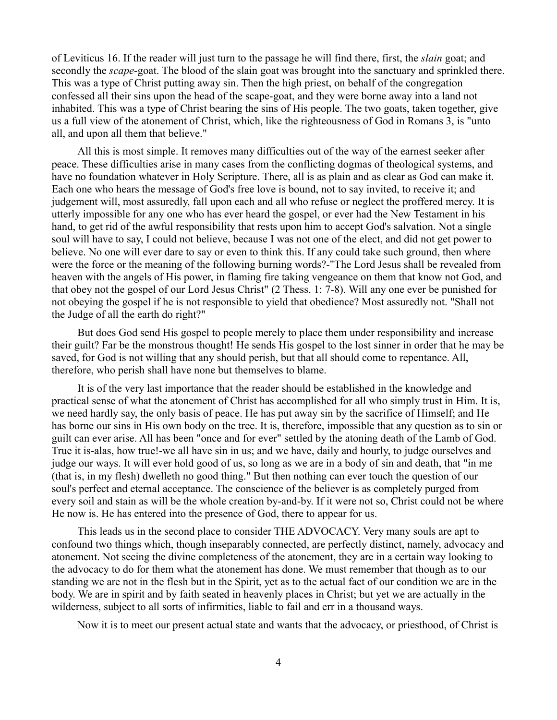of Leviticus 16. If the reader will just turn to the passage he will find there, first, the *slain* goat; and secondly the *scape*-goat. The blood of the slain goat was brought into the sanctuary and sprinkled there. This was a type of Christ putting away sin. Then the high priest, on behalf of the congregation confessed all their sins upon the head of the scape-goat, and they were borne away into a land not inhabited. This was a type of Christ bearing the sins of His people. The two goats, taken together, give us a full view of the atonement of Christ, which, like the righteousness of God in Romans 3, is "unto all, and upon all them that believe."

All this is most simple. It removes many difficulties out of the way of the earnest seeker after peace. These difficulties arise in many cases from the conflicting dogmas of theological systems, and have no foundation whatever in Holy Scripture. There, all is as plain and as clear as God can make it. Each one who hears the message of God's free love is bound, not to say invited, to receive it; and judgement will, most assuredly, fall upon each and all who refuse or neglect the proffered mercy. It is utterly impossible for any one who has ever heard the gospel, or ever had the New Testament in his hand, to get rid of the awful responsibility that rests upon him to accept God's salvation. Not a single soul will have to say, I could not believe, because I was not one of the elect, and did not get power to believe. No one will ever dare to say or even to think this. If any could take such ground, then where were the force or the meaning of the following burning words?-"The Lord Jesus shall be revealed from heaven with the angels of His power, in flaming fire taking vengeance on them that know not God, and that obey not the gospel of our Lord Jesus Christ" (2 Thess. 1: 7-8). Will any one ever be punished for not obeying the gospel if he is not responsible to yield that obedience? Most assuredly not. "Shall not the Judge of all the earth do right?"

But does God send His gospel to people merely to place them under responsibility and increase their guilt? Far be the monstrous thought! He sends His gospel to the lost sinner in order that he may be saved, for God is not willing that any should perish, but that all should come to repentance. All, therefore, who perish shall have none but themselves to blame.

It is of the very last importance that the reader should be established in the knowledge and practical sense of what the atonement of Christ has accomplished for all who simply trust in Him. It is, we need hardly say, the only basis of peace. He has put away sin by the sacrifice of Himself; and He has borne our sins in His own body on the tree. It is, therefore, impossible that any question as to sin or guilt can ever arise. All has been "once and for ever" settled by the atoning death of the Lamb of God. True it is-alas, how true!-we all have sin in us; and we have, daily and hourly, to judge ourselves and judge our ways. It will ever hold good of us, so long as we are in a body of sin and death, that "in me (that is, in my flesh) dwelleth no good thing." But then nothing can ever touch the question of our soul's perfect and eternal acceptance. The conscience of the believer is as completely purged from every soil and stain as will be the whole creation by-and-by. If it were not so, Christ could not be where He now is. He has entered into the presence of God, there to appear for us.

This leads us in the second place to consider THE ADVOCACY. Very many souls are apt to confound two things which, though inseparably connected, are perfectly distinct, namely, advocacy and atonement. Not seeing the divine completeness of the atonement, they are in a certain way looking to the advocacy to do for them what the atonement has done. We must remember that though as to our standing we are not in the flesh but in the Spirit, yet as to the actual fact of our condition we are in the body. We are in spirit and by faith seated in heavenly places in Christ; but yet we are actually in the wilderness, subject to all sorts of infirmities, liable to fail and err in a thousand ways.

Now it is to meet our present actual state and wants that the advocacy, or priesthood, of Christ is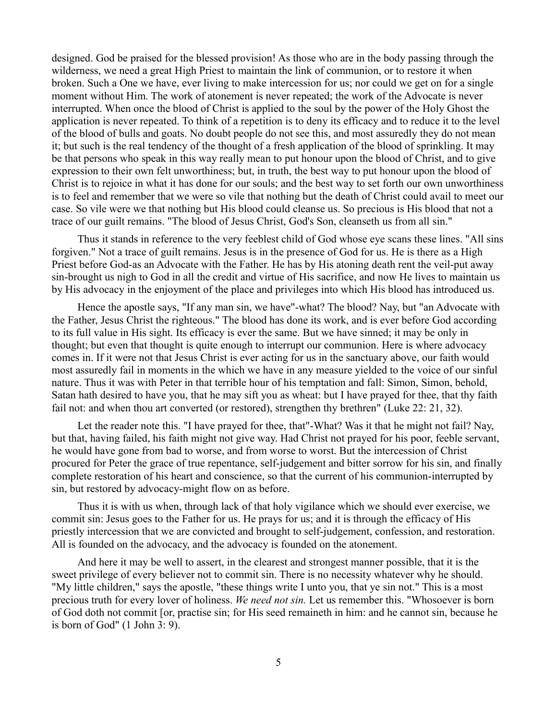designed. God be praised for the blessed provision! As those who are in the body passing through the wilderness, we need a great High Priest to maintain the link of communion, or to restore it when broken. Such a One we have, ever living to make intercession for us; nor could we get on for a single moment without Him. The work of atonement is never repeated; the work of the Advocate is never interrupted. When once the blood of Christ is applied to the soul by the power of the Holy Ghost the application is never repeated. To think of a repetition is to deny its efficacy and to reduce it to the level of the blood of bulls and goats. No doubt people do not see this, and most assuredly they do not mean it; but such is the real tendency of the thought of a fresh application of the blood of sprinkling. It may be that persons who speak in this way really mean to put honour upon the blood of Christ, and to give expression to their own felt unworthiness; but, in truth, the best way to put honour upon the blood of Christ is to rejoice in what it has done for our souls; and the best way to set forth our own unworthiness is to feel and remember that we were so vile that nothing but the death of Christ could avail to meet our case. So vile were we that nothing but His blood could cleanse us. So precious is His blood that not a trace of our guilt remains. "The blood of Jesus Christ, God's Son, cleanseth us from all sin."

Thus it stands in reference to the very feeblest child of God whose eye scans these lines. "All sins forgiven." Not a trace of guilt remains. Jesus is in the presence of God for us. He is there as a High Priest before God-as an Advocate with the Father. He has by His atoning death rent the veil-put away sin-brought us nigh to God in all the credit and virtue of His sacrifice, and now He lives to maintain us by His advocacy in the enjoyment of the place and privileges into which His blood has introduced us.

Hence the apostle says, "If any man sin, we have"-what? The blood? Nay, but "an Advocate with the Father, Jesus Christ the righteous." The blood has done its work, and is ever before God according to its full value in His sight. Its efficacy is ever the same. But we have sinned; it may be only in thought; but even that thought is quite enough to interrupt our communion. Here is where advocacy comes in. If it were not that Jesus Christ is ever acting for us in the sanctuary above, our faith would most assuredly fail in moments in the which we have in any measure yielded to the voice of our sinful nature. Thus it was with Peter in that terrible hour of his temptation and fall: Simon, Simon, behold, Satan hath desired to have you, that he may sift you as wheat: but I have prayed for thee, that thy faith fail not: and when thou art converted (or restored), strengthen thy brethren" (Luke 22: 21, 32).

Let the reader note this. "I have prayed for thee, that"-What? Was it that he might not fail? Nay, but that, having failed, his faith might not give way. Had Christ not prayed for his poor, feeble servant, he would have gone from bad to worse, and from worse to worst. But the intercession of Christ procured for Peter the grace of true repentance, self-judgement and bitter sorrow for his sin, and finally complete restoration of his heart and conscience, so that the current of his communion-interrupted by sin, but restored by advocacy-might flow on as before.

Thus it is with us when, through lack of that holy vigilance which we should ever exercise, we commit sin: Jesus goes to the Father for us. He prays for us; and it is through the efficacy of His priestly intercession that we are convicted and brought to self-judgement, confession, and restoration. All is founded on the advocacy, and the advocacy is founded on the atonement.

And here it may be well to assert, in the clearest and strongest manner possible, that it is the sweet privilege of every believer not to commit sin. There is no necessity whatever why he should. "My little children," says the apostle, "these things write I unto you, that ye sin not." This is a most precious truth for every lover of holiness. *We need not sin.* Let us remember this. "Whosoever is born of God doth not commit [or, practise sin; for His seed remaineth in him: and he cannot sin, because he is born of God" (1 John 3: 9).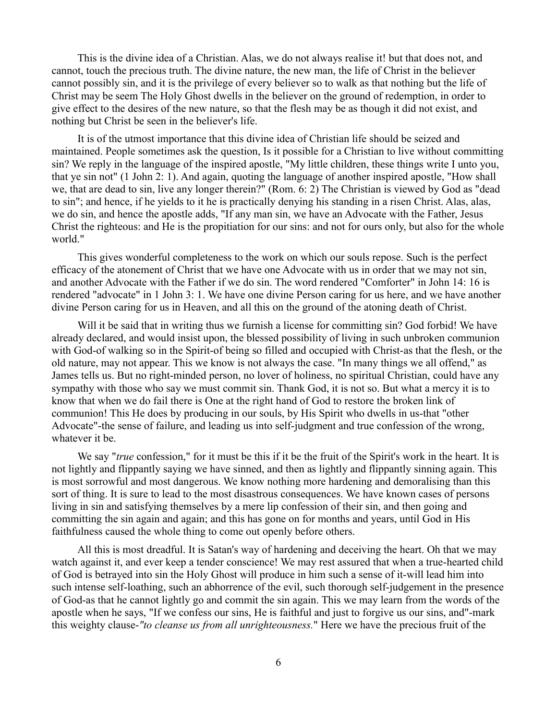This is the divine idea of a Christian. Alas, we do not always realise it! but that does not, and cannot, touch the precious truth. The divine nature, the new man, the life of Christ in the believer cannot possibly sin, and it is the privilege of every believer so to walk as that nothing but the life of Christ may be seem The Holy Ghost dwells in the believer on the ground of redemption, in order to give effect to the desires of the new nature, so that the flesh may be as though it did not exist, and nothing but Christ be seen in the believer's life.

It is of the utmost importance that this divine idea of Christian life should be seized and maintained. People sometimes ask the question, Is it possible for a Christian to live without committing sin? We reply in the language of the inspired apostle, "My little children, these things write I unto you, that ye sin not" (1 John 2: 1). And again, quoting the language of another inspired apostle, "How shall we, that are dead to sin, live any longer therein?" (Rom. 6: 2) The Christian is viewed by God as "dead to sin"; and hence, if he yields to it he is practically denying his standing in a risen Christ. Alas, alas, we do sin, and hence the apostle adds, "If any man sin, we have an Advocate with the Father, Jesus Christ the righteous: and He is the propitiation for our sins: and not for ours only, but also for the whole world."

This gives wonderful completeness to the work on which our souls repose. Such is the perfect efficacy of the atonement of Christ that we have one Advocate with us in order that we may not sin, and another Advocate with the Father if we do sin. The word rendered "Comforter" in John 14: 16 is rendered "advocate" in 1 John 3: 1. We have one divine Person caring for us here, and we have another divine Person caring for us in Heaven, and all this on the ground of the atoning death of Christ.

Will it be said that in writing thus we furnish a license for committing sin? God forbid! We have already declared, and would insist upon, the blessed possibility of living in such unbroken communion with God-of walking so in the Spirit-of being so filled and occupied with Christ-as that the flesh, or the old nature, may not appear. This we know is not always the case. "In many things we all offend," as James tells us. But no right-minded person, no lover of holiness, no spiritual Christian, could have any sympathy with those who say we must commit sin. Thank God, it is not so. But what a mercy it is to know that when we do fail there is One at the right hand of God to restore the broken link of communion! This He does by producing in our souls, by His Spirit who dwells in us-that "other Advocate"-the sense of failure, and leading us into self-judgment and true confession of the wrong, whatever it be.

We say "*true* confession," for it must be this if it be the fruit of the Spirit's work in the heart. It is not lightly and flippantly saying we have sinned, and then as lightly and flippantly sinning again. This is most sorrowful and most dangerous. We know nothing more hardening and demoralising than this sort of thing. It is sure to lead to the most disastrous consequences. We have known cases of persons living in sin and satisfying themselves by a mere lip confession of their sin, and then going and committing the sin again and again; and this has gone on for months and years, until God in His faithfulness caused the whole thing to come out openly before others.

All this is most dreadful. It is Satan's way of hardening and deceiving the heart. Oh that we may watch against it, and ever keep a tender conscience! We may rest assured that when a true-hearted child of God is betrayed into sin the Holy Ghost will produce in him such a sense of it-will lead him into such intense self-loathing, such an abhorrence of the evil, such thorough self-judgement in the presence of God-as that he cannot lightly go and commit the sin again. This we may learn from the words of the apostle when he says, "If we confess our sins, He is faithful and just to forgive us our sins, and"-mark this weighty clause-*"to cleanse us from all unrighteousness.*" Here we have the precious fruit of the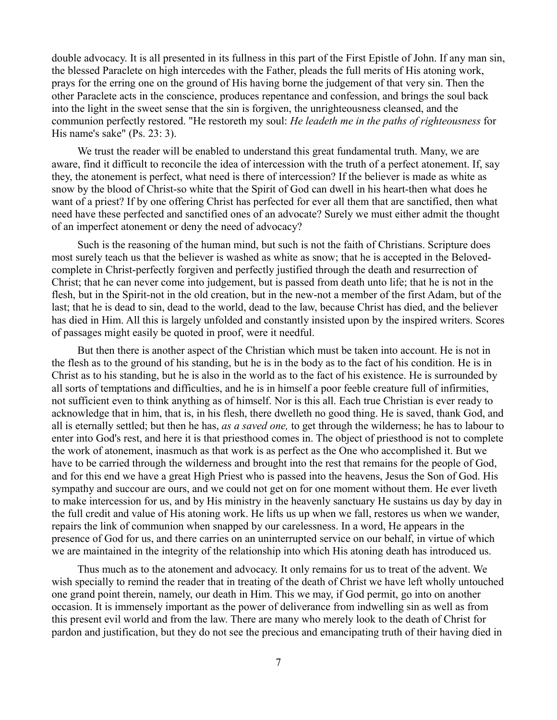double advocacy. It is all presented in its fullness in this part of the First Epistle of John. If any man sin, the blessed Paraclete on high intercedes with the Father, pleads the full merits of His atoning work, prays for the erring one on the ground of His having borne the judgement of that very sin. Then the other Paraclete acts in the conscience, produces repentance and confession, and brings the soul back into the light in the sweet sense that the sin is forgiven, the unrighteousness cleansed, and the communion perfectly restored. "He restoreth my soul: *He leadeth me in the paths of righteousness* for His name's sake" (Ps. 23: 3).

We trust the reader will be enabled to understand this great fundamental truth. Many, we are aware, find it difficult to reconcile the idea of intercession with the truth of a perfect atonement. If, say they, the atonement is perfect, what need is there of intercession? If the believer is made as white as snow by the blood of Christ-so white that the Spirit of God can dwell in his heart-then what does he want of a priest? If by one offering Christ has perfected for ever all them that are sanctified, then what need have these perfected and sanctified ones of an advocate? Surely we must either admit the thought of an imperfect atonement or deny the need of advocacy?

Such is the reasoning of the human mind, but such is not the faith of Christians. Scripture does most surely teach us that the believer is washed as white as snow; that he is accepted in the Belovedcomplete in Christ-perfectly forgiven and perfectly justified through the death and resurrection of Christ; that he can never come into judgement, but is passed from death unto life; that he is not in the flesh, but in the Spirit-not in the old creation, but in the new-not a member of the first Adam, but of the last; that he is dead to sin, dead to the world, dead to the law, because Christ has died, and the believer has died in Him. All this is largely unfolded and constantly insisted upon by the inspired writers. Scores of passages might easily be quoted in proof, were it needful.

But then there is another aspect of the Christian which must be taken into account. He is not in the flesh as to the ground of his standing, but he is in the body as to the fact of his condition. He is in Christ as to his standing, but he is also in the world as to the fact of his existence. He is surrounded by all sorts of temptations and difficulties, and he is in himself a poor feeble creature full of infirmities, not sufficient even to think anything as of himself. Nor is this all. Each true Christian is ever ready to acknowledge that in him, that is, in his flesh, there dwelleth no good thing. He is saved, thank God, and all is eternally settled; but then he has, *as a saved one,* to get through the wilderness; he has to labour to enter into God's rest, and here it is that priesthood comes in. The object of priesthood is not to complete the work of atonement, inasmuch as that work is as perfect as the One who accomplished it. But we have to be carried through the wilderness and brought into the rest that remains for the people of God, and for this end we have a great High Priest who is passed into the heavens, Jesus the Son of God. His sympathy and succour are ours, and we could not get on for one moment without them. He ever liveth to make intercession for us, and by His ministry in the heavenly sanctuary He sustains us day by day in the full credit and value of His atoning work. He lifts us up when we fall, restores us when we wander, repairs the link of communion when snapped by our carelessness. In a word, He appears in the presence of God for us, and there carries on an uninterrupted service on our behalf, in virtue of which we are maintained in the integrity of the relationship into which His atoning death has introduced us.

Thus much as to the atonement and advocacy. It only remains for us to treat of the advent. We wish specially to remind the reader that in treating of the death of Christ we have left wholly untouched one grand point therein, namely, our death in Him. This we may, if God permit, go into on another occasion. It is immensely important as the power of deliverance from indwelling sin as well as from this present evil world and from the law. There are many who merely look to the death of Christ for pardon and justification, but they do not see the precious and emancipating truth of their having died in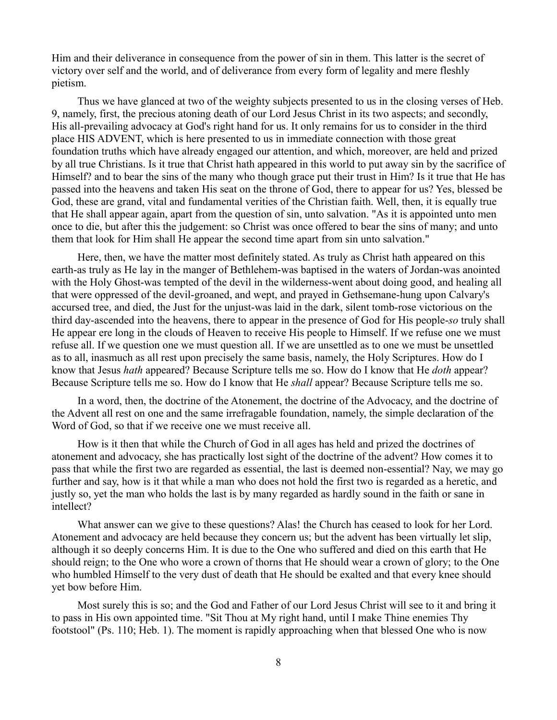Him and their deliverance in consequence from the power of sin in them. This latter is the secret of victory over self and the world, and of deliverance from every form of legality and mere fleshly pietism.

Thus we have glanced at two of the weighty subjects presented to us in the closing verses of Heb. 9, namely, first, the precious atoning death of our Lord Jesus Christ in its two aspects; and secondly, His all-prevailing advocacy at God's right hand for us. It only remains for us to consider in the third place HIS ADVENT, which is here presented to us in immediate connection with those great foundation truths which have already engaged our attention, and which, moreover, are held and prized by all true Christians. Is it true that Christ hath appeared in this world to put away sin by the sacrifice of Himself? and to bear the sins of the many who though grace put their trust in Him? Is it true that He has passed into the heavens and taken His seat on the throne of God, there to appear for us? Yes, blessed be God, these are grand, vital and fundamental verities of the Christian faith. Well, then, it is equally true that He shall appear again, apart from the question of sin, unto salvation. "As it is appointed unto men once to die, but after this the judgement: so Christ was once offered to bear the sins of many; and unto them that look for Him shall He appear the second time apart from sin unto salvation."

Here, then, we have the matter most definitely stated. As truly as Christ hath appeared on this earth-as truly as He lay in the manger of Bethlehem-was baptised in the waters of Jordan-was anointed with the Holy Ghost-was tempted of the devil in the wilderness-went about doing good, and healing all that were oppressed of the devil-groaned, and wept, and prayed in Gethsemane-hung upon Calvary's accursed tree, and died, the Just for the unjust-was laid in the dark, silent tomb-rose victorious on the third day-ascended into the heavens, there to appear in the presence of God for His people-*so* truly shall He appear ere long in the clouds of Heaven to receive His people to Himself. If we refuse one we must refuse all. If we question one we must question all. If we are unsettled as to one we must be unsettled as to all, inasmuch as all rest upon precisely the same basis, namely, the Holy Scriptures. How do I know that Jesus *hath* appeared? Because Scripture tells me so. How do I know that He *doth* appear? Because Scripture tells me so. How do I know that He *shall* appear? Because Scripture tells me so.

In a word, then, the doctrine of the Atonement, the doctrine of the Advocacy, and the doctrine of the Advent all rest on one and the same irrefragable foundation, namely, the simple declaration of the Word of God, so that if we receive one we must receive all.

How is it then that while the Church of God in all ages has held and prized the doctrines of atonement and advocacy, she has practically lost sight of the doctrine of the advent? How comes it to pass that while the first two are regarded as essential, the last is deemed non-essential? Nay, we may go further and say, how is it that while a man who does not hold the first two is regarded as a heretic, and justly so, yet the man who holds the last is by many regarded as hardly sound in the faith or sane in intellect?

What answer can we give to these questions? Alas! the Church has ceased to look for her Lord. Atonement and advocacy are held because they concern us; but the advent has been virtually let slip, although it so deeply concerns Him. It is due to the One who suffered and died on this earth that He should reign; to the One who wore a crown of thorns that He should wear a crown of glory; to the One who humbled Himself to the very dust of death that He should be exalted and that every knee should yet bow before Him.

Most surely this is so; and the God and Father of our Lord Jesus Christ will see to it and bring it to pass in His own appointed time. "Sit Thou at My right hand, until I make Thine enemies Thy footstool" (Ps. 110; Heb. 1). The moment is rapidly approaching when that blessed One who is now